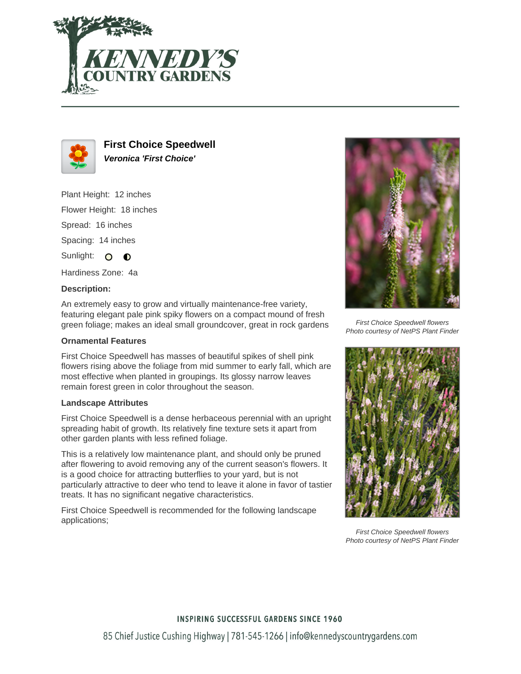



**First Choice Speedwell Veronica 'First Choice'**

Plant Height: 12 inches

Flower Height: 18 inches

Spread: 16 inches

Spacing: 14 inches

Sunlight: O  $\bullet$ 

Hardiness Zone: 4a

## **Description:**

An extremely easy to grow and virtually maintenance-free variety, featuring elegant pale pink spiky flowers on a compact mound of fresh green foliage; makes an ideal small groundcover, great in rock gardens

## **Ornamental Features**

First Choice Speedwell has masses of beautiful spikes of shell pink flowers rising above the foliage from mid summer to early fall, which are most effective when planted in groupings. Its glossy narrow leaves remain forest green in color throughout the season.

## **Landscape Attributes**

First Choice Speedwell is a dense herbaceous perennial with an upright spreading habit of growth. Its relatively fine texture sets it apart from other garden plants with less refined foliage.

This is a relatively low maintenance plant, and should only be pruned after flowering to avoid removing any of the current season's flowers. It is a good choice for attracting butterflies to your yard, but is not particularly attractive to deer who tend to leave it alone in favor of tastier treats. It has no significant negative characteristics.

First Choice Speedwell is recommended for the following landscape applications;



First Choice Speedwell flowers Photo courtesy of NetPS Plant Finder



First Choice Speedwell flowers Photo courtesy of NetPS Plant Finder